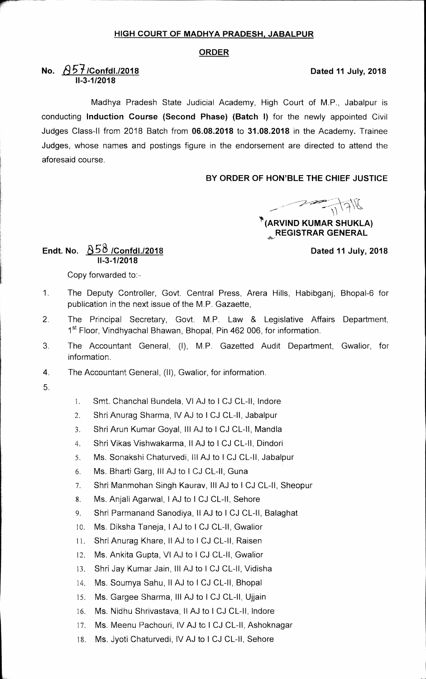## **HIGH COURT OF MADHYA PRADESH, JABALPUR**

### **ORDER**

# **No.**  $\sqrt{657}$ /Confdl./2018 *Dated* 11 July, 2018 **11-3-1/2018**

Madhya Pradesh State Judicial Academy, High Court of M.P., Jabalpur is conducting **Induction Course (Second Phase) (Batch I)** for the newly appointed Civil Judges Class-II from 2018 Batch from **06.08.2018** to **31.08.2018** in the Academy. Trainee Judges, whose names and postings figure in the endorsement are directed to attend the aforesaid course.

## **BY ORDER OF HON'BLE THE CHIEF JUSTICE**

**let the Kumar SHUKLA)**<br> **EXPOSED ARVIND KUMAR SHUKLA** 

**REGISTRAR GENERAL** 

# Endt. No. 858 /Confdl./2018 **Dated 11 July, 2018 11-3-1/2018**

Copy forwarded to:

- 1 The Deputy Controller, Govt. Central Press, Arera Hills, Habibganj, Bhopal-6 for publication in the next issue of the M.P. Gazaette,
- 2. The Principal Secretary, Govt. M.P. Law & Legislative Affairs Department, 1<sup>st</sup> Floor, Vindhyachal Bhawan, Bhopal, Pin 462 006, for information.
- 3. The Accountant General, (I), M.P. Gazetted Audit Department, Gwalior, for information.
- 4. The Accountant General, (II), Gwalior, for information.
- 5
- 1. Smt. Chanchal Bundela, VI AJ to I CJ CL-II, lndore
- 2. Shri Anurag Sharma, IV AJ to I CJ CL-II, Jabalpur
- 3. Shri Arun Kumar Goyal, Ill AJ to I CJ CL-II, Mandla
- 4. Shri Vikas Vishwakarma, II AJ to I CJ CL-II, Dindori
- 5. Ms. Sonakshi Chaturvedi, Ill AJ to I CJ CL-II, Jabalpur
- 6. Ms. Bharti Garg, Ill AJ to I CJ CL-11, Guna
- 7. Shri Manmohan Singh Kaurav, Ill AJ to I CJ CL-II, Sheopur
- 8. Ms. Anjali Agarwal, I AJ to I CJ CL-II, Sehore
- 9. Shri Parmanand Sanodiya, II AJ to I CJ CL-II, Balaghat
- 10. Ms. Diksha Taneja, I AJ to I CJ CL-II, Gwalior
- Shri Anurag Khare, II AJ to I CJ CL-II, Raisen  $11.$
- 12. Ms. Ankita Gupta, VI AJ to I CJ CL-II, Gwalior
- 13. Shri Jay Kumar Jain, Ill AJ to I CJ CL-II, Vidisha
- 14. Ms. Soumya Sahu, II AJ to I CJ CL-II, Bhopal
- 15. Ms. Gargee Sharma, III AJ to I CJ CL-II, Ujjain
- 16. Ms. Nidhu Shrivastava, II AJ to I CJ CL-II, indore
- 17. Ms. Meenu Pachouri, IV AJ to I CJ CL-II, Ashoknagar
- 18. Ms. Jyoti Chaturvedi, IV AJ to I CJ CL-II, Sehore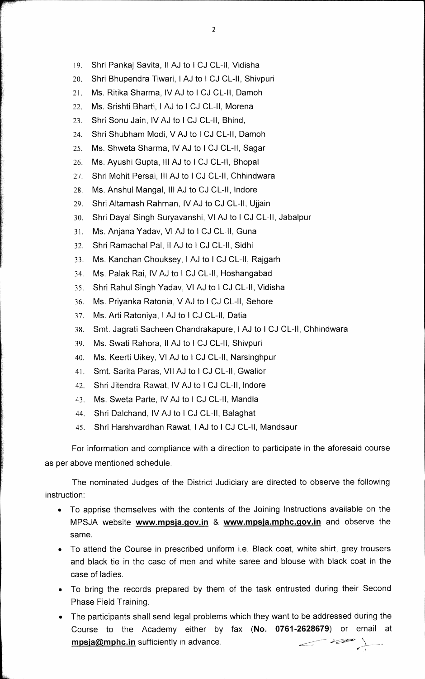- 19. Shri Pankaj Savita, II AJ to I CJ CL-II, Vidisha
- 20. Shri Bhupendra Tiwari, I AJ to I CJ CL-II, Shivpuri
- 21. Ms. Ritika Sharma, IV AJ to I CJ CL-II, Damoh
- 22. Ms. Srishti Bharti, I AJ to I CJ CL-II, Morena
- 23. Shri Sonu Jain, IV AJ to I CJ CL-II, Bhind,
- 24. Shri Shubham Modi, V AJ to I CJ CL-II, Damoh
- 25. Ms. Shweta Sharma, IV AJ to I CJ CL-II, Sagar
- 26. Ms. Ayushi Gupta, III AJ to I CJ CL-II, Bhopal
- 27. Shri Mohit Persai, Ill AJ to I CJ CL-II, Chhindwara
- 28. Ms. Anshul Mangal, Ill AJ to CJ CL-II, Indore
- 29. Shri Altamash Rahman, IV AJ to CJ CL-II, Ujjain
- 30. Shri Dayal Singh Suryavanshi, VI AJ to I CJ CL-II, Jabalpur
- 31. Ms. Anjana Yadav, VI AJ to 1 CJ CL-II, Guna
- 32. Shri Ramachal Pal, II AJ to I CJ CL-II, Sidhi
- 33. Ms. Kanchan Chouksey, I AJ to I CJ CL-II, Rajgarh
- 34. Ms. Paiak Rai, IV AJ to I CJ CL-II, Hoshangabad
- 35. Shri Rahul Singh Yadav, VI AJ to I CJ CL-II, Vidisha
- 36. Ms. Priyanka Ratonia, V AJ to I CJ CL-II, Sehore
- 37. Ms. Arti Ratoniya, I AJ to I CJ CL-II, Datia
- 38. Smt. Jagrati Sacheen Chandrakapure, I AJ to I CJ CL-II, Chhindwara
- 39. Ms. Swati Rahora, II AJ to I CJ CL-II, Shivpuri
- 40. Ms. Keerti Uikey, VI AJ to I CJ CL-II, Narsinghpur
- 41. Smt. Santa Paras, VII AJ to I CJ CL-II, Gwalior
- 42. Shri Jitendra Rawat, IV AJ to I CJ CL-II, Indore
- 43. Ms. Sweta Parte, IV AJ to I CJ CL-II, Mandla
- 44. Shri Dalchand, IV AJ to I CJ CL-II, Balaghat
- 45. Shri Harshvardhan Rawat, I AJ to I CJ CL-II, Mandsaur

For information and compliance with a direction to participate in the aforesaid course as per above mentioned schedule.

The nominated Judges of the District Judiciary are directed to observe the following instruction:

- To apprise themselves with the contents of the Joining Instructions available on the MPSJA website wvvw.mpsja.gov.in & **wvvw.mpsja.mphc.gov.in** and observe the same.
- To attend the Course in prescribed uniform i.e. Black coat, white shirt, grey trousers and black tie in the case of men and white saree and blouse with black coat in the case of ladies.
- To bring the records prepared by them of the task entrusted during their Second Phase Field Training.
- The participants shall send legal problems which they want to be addressed during the Course to the Academy either by fax **(No. 0761-2628679)** or email at **mpsja@mphc.in** sufficiently in advance. VP